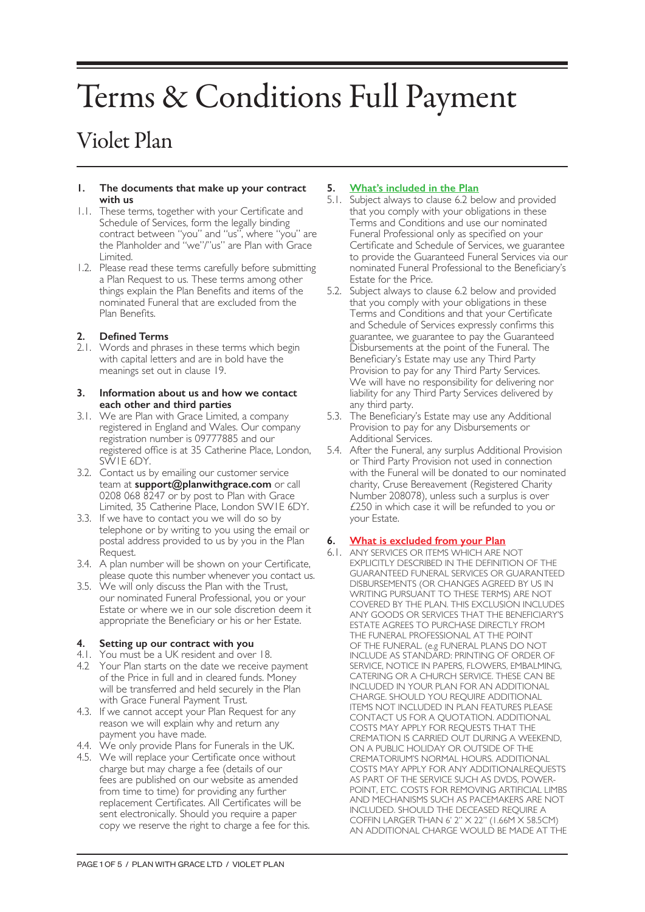# Terms & Conditions Full Payment

# Violet Plan

#### **1. The documents that make up your contract with us**

- 1.1. These terms, together with your Certificate and Schedule of Services, form the legally binding contract between "you" and "us", where "you" are the Planholder and "we"/"us" are Plan with Grace Limited.
- 1.2. Please read these terms carefully before submitting a Plan Request to us. These terms among other things explain the Plan Benefits and items of the nominated Funeral that are excluded from the Plan Benefits.

# **2. Defined Terms**

2.1. Words and phrases in these terms which begin with capital letters and are in bold have the meanings set out in clause 19.

#### **3. Information about us and how we contact each other and third parties**

- 3.1. We are Plan with Grace Limited, a company registered in England and Wales. Our company registration number is 09777885 and our registered office is at 35 Catherine Place, London, SW1E 6DY.
- 3.2. Contact us by emailing our customer service team at **support@planwithgrace.com** or call 0208 068 8247 or by post to Plan with Grace Limited, 35 Catherine Place, London SW1E 6DY.
- 3.3. If we have to contact you we will do so by telephone or by writing to you using the email or postal address provided to us by you in the Plan Request.
- 3.4. A plan number will be shown on your Certificate, please quote this number whenever you contact us.
- 3.5. We will only discuss the Plan with the Trust, our nominated Funeral Professional, you or your Estate or where we in our sole discretion deem it appropriate the Beneficiary or his or her Estate.

# **4. Setting up our contract with you**

- 4.1. You must be a UK resident and over 18.
- 4.2 Your Plan starts on the date we receive payment of the Price in full and in cleared funds. Money will be transferred and held securely in the Plan with Grace Funeral Payment Trust.
- 4.3. If we cannot accept your Plan Request for any reason we will explain why and return any payment you have made.
- 4.4. We only provide Plans for Funerals in the UK.
- 4.5. We will replace your Certificate once without charge but may charge a fee (details of our fees are published on our website as amended from time to time) for providing any further replacement Certificates. All Certificates will be sent electronically. Should you require a paper copy we reserve the right to charge a fee for this.

# **5. What's included in the Plan**

- 5.1. Subject always to clause 6.2 below and provided that you comply with your obligations in these Terms and Conditions and use our nominated Funeral Professional only as specified on your Certificate and Schedule of Services, we guarantee to provide the Guaranteed Funeral Services via our nominated Funeral Professional to the Beneficiary's Estate for the Price.
- 5.2. Subject always to clause 6.2 below and provided that you comply with your obligations in these Terms and Conditions and that your Certificate and Schedule of Services expressly confirms this guarantee, we guarantee to pay the Guaranteed Disbursements at the point of the Funeral. The Beneficiary's Estate may use any Third Party Provision to pay for any Third Party Services. We will have no responsibility for delivering nor liability for any Third Party Services delivered by any third party.
- 5.3. The Beneficiary's Estate may use any Additional Provision to pay for any Disbursements or Additional Services.
- 5.4. After the Funeral, any surplus Additional Provision or Third Party Provision not used in connection with the Funeral will be donated to our nominated charity, Cruse Bereavement (Registered Charity Number 208078), unless such a surplus is over £250 in which case it will be refunded to you or your Estate.

# **6. What is excluded from your Plan**

6.1. ANY SERVICES OR ITEMS WHICH ARE NOT EXPLICITLY DESCRIBED IN THE DEFINITION OF THE GUARANTEED FUNERAL SERVICES OR GUARANTEED DISBURSEMENTS (OR CHANGES AGREED BY US IN WRITING PURSUANT TO THESE TERMS) ARE NOT COVERED BY THE PLAN. THIS EXCLUSION INCLUDES ANY GOODS OR SERVICES THAT THE BENEFICIARY'S ESTATE AGREES TO PURCHASE DIRECTLY FROM THE FUNERAL PROFESSIONAL AT THE POINT OF THE FUNERAL. (e.g FUNERAL PLANS DO NOT INCLUDE AS STANDARD: PRINTING OF ORDER OF SERVICE, NOTICE IN PAPERS, FLOWERS, EMBALMING, CATERING OR A CHURCH SERVICE. THESE CAN BE INCLUDED IN YOUR PLAN FOR AN ADDITIONAL CHARGE. SHOULD YOU REQUIRE ADDITIONAL ITEMS NOT INCLUDED IN PLAN FEATURES PLEASE CONTACT US FOR A QUOTATION. ADDITIONAL COSTS MAY APPLY FOR REQUESTS THAT THE CREMATION IS CARRIED OUT DURING A WEEKEND, ON A PUBLIC HOLIDAY OR OUTSIDE OF THE CREMATORIUM'S NORMAL HOURS. ADDITIONAL COSTS MAY APPLY FOR ANY ADDITIONALREQUESTS AS PART OF THE SERVICE SUCH AS DVDS, POWER-POINT, ETC. COSTS FOR REMOVING ARTIFICIAL LIMBS AND MECHANISMS SUCH AS PACEMAKERS ARE NOT INCLUDED. SHOULD THE DECEASED REQUIRE A COFFIN LARGER THAN 6' 2" X 22" (1.66M X 58.5CM) AN ADDITIONAL CHARGE WOULD BE MADE AT THE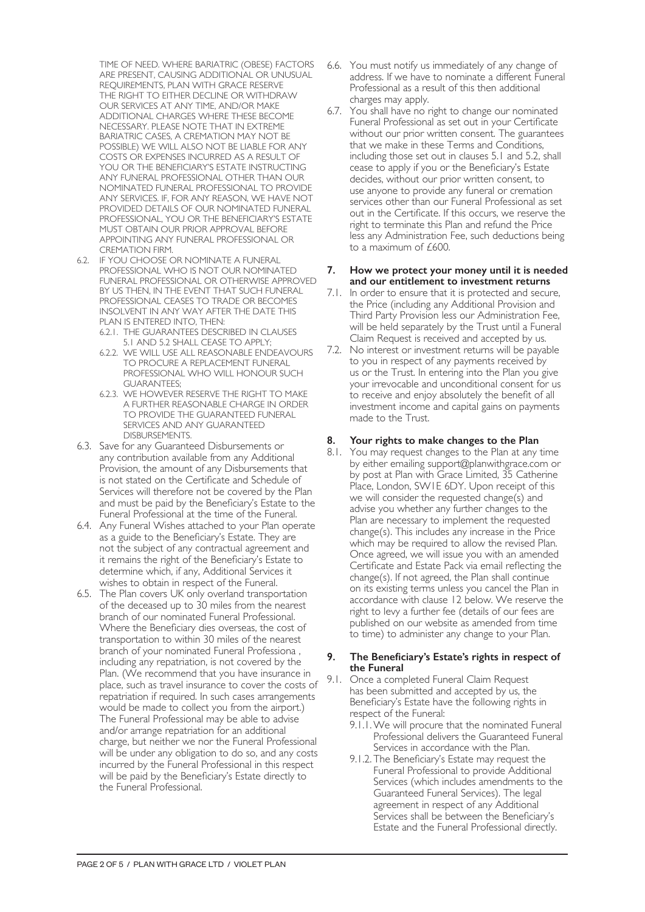TIME OF NEED. WHERE BARIATRIC (OBESE) FACTORS ARE PRESENT, CAUSING ADDITIONAL OR UNUSUAL REQUIREMENTS, PLAN WITH GRACE RESERVE THE RIGHT TO EITHER DECLINE OR WITHDRAW OUR SERVICES AT ANY TIME, AND/OR MAKE ADDITIONAL CHARGES WHERE THESE BECOME NECESSARY. PLEASE NOTE THAT IN EXTREME BARIATRIC CASES, A CREMATION MAY NOT BE POSSIBLE) WE WILL ALSO NOT BE LIABLE FOR ANY COSTS OR EXPENSES INCURRED AS A RESULT OF YOU OR THE BENEFICIARY'S ESTATE INSTRUCTING ANY FUNERAL PROFESSIONAL OTHER THAN OUR NOMINATED FUNERAL PROFESSIONAL TO PROVIDE ANY SERVICES. IF, FOR ANY REASON, WE HAVE NOT PROVIDED DETAILS OF OUR NOMINATED FUNERAL PROFESSIONAL, YOU OR THE BENEFICIARY'S ESTATE MUST OBTAIN OUR PRIOR APPROVAL BEFORE APPOINTING ANY FUNERAL PROFESSIONAL OR CREMATION FIRM.

- 6.2. IF YOU CHOOSE OR NOMINATE A FUNERAL PROFESSIONAL WHO IS NOT OUR NOMINATED FUNERAL PROFESSIONAL OR OTHERWISE APPROVED BY US THEN, IN THE EVENT THAT SUCH FUNERAL PROFESSIONAL CEASES TO TRADE OR BECOMES INSOLVENT IN ANY WAY AFTER THE DATE THIS PLAN IS ENTERED INTO, THEN:
	- 6.2.1. THE GUARANTEES DESCRIBED IN CLAUSES 5.1 AND 5.2 SHALL CEASE TO APPLY;
	- 6.2.2. WE WILL USE ALL REASONABLE ENDEAVOURS TO PROCURE A REPLACEMENT FUNERAL PROFESSIONAL WHO WILL HONOUR SUCH GUARANTEES;
	- 6.2.3. WE HOWEVER RESERVE THE RIGHT TO MAKE A FURTHER REASONABLE CHARGE IN ORDER TO PROVIDE THE GUARANTEED FUNERAL SERVICES AND ANY GUARANTEED DISBURSEMENTS.
- 6.3. Save for any Guaranteed Disbursements or any contribution available from any Additional Provision, the amount of any Disbursements that is not stated on the Certificate and Schedule of Services will therefore not be covered by the Plan and must be paid by the Beneficiary's Estate to the Funeral Professional at the time of the Funeral.
- 6.4. Any Funeral Wishes attached to your Plan operate as a guide to the Beneficiary's Estate. They are not the subject of any contractual agreement and it remains the right of the Beneficiary's Estate to determine which, if any, Additional Services it wishes to obtain in respect of the Funeral.
- 6.5. The Plan covers UK only overland transportation of the deceased up to 30 miles from the nearest branch of our nominated Funeral Professional. Where the Beneficiary dies overseas, the cost of transportation to within 30 miles of the nearest branch of your nominated Funeral Professiona , including any repatriation, is not covered by the Plan. (We recommend that you have insurance in place, such as travel insurance to cover the costs of repatriation if required. In such cases arrangements would be made to collect you from the airport.) The Funeral Professional may be able to advise and/or arrange repatriation for an additional charge, but neither we nor the Funeral Professional will be under any obligation to do so, and any costs incurred by the Funeral Professional in this respect will be paid by the Beneficiary's Estate directly to the Funeral Professional.
- 6.6. You must notify us immediately of any change of address. If we have to nominate a different Funeral Professional as a result of this then additional charges may apply.
- 6.7. You shall have no right to change our nominated Funeral Professional as set out in your Certificate without our prior written consent. The guarantees that we make in these Terms and Conditions, including those set out in clauses 5.1 and 5.2, shall cease to apply if you or the Beneficiary's Estate decides, without our prior written consent, to use anyone to provide any funeral or cremation services other than our Funeral Professional as set out in the Certificate. If this occurs, we reserve the right to terminate this Plan and refund the Price less any Administration Fee, such deductions being to a maximum of £600.

#### **7. How we protect your money until it is needed and our entitlement to investment returns**

- 7.1. In order to ensure that it is protected and secure, the Price (including any Additional Provision and Third Party Provision less our Administration Fee, will be held separately by the Trust until a Funeral Claim Request is received and accepted by us.
- 7.2. No interest or investment returns will be payable to you in respect of any payments received by us or the Trust. In entering into the Plan you give your irrevocable and unconditional consent for us to receive and enjoy absolutely the benefit of all investment income and capital gains on payments made to the Trust.

# **8. Your rights to make changes to the Plan**

8.1. You may request changes to the Plan at any time by either emailing support@planwithgrace.com or by post at Plan with Grace Limited, 35 Catherine Place, London, SW1E 6DY. Upon receipt of this we will consider the requested change(s) and advise you whether any further changes to the Plan are necessary to implement the requested change(s). This includes any increase in the Price which may be required to allow the revised Plan. Once agreed, we will issue you with an amended Certificate and Estate Pack via email reflecting the change(s). If not agreed, the Plan shall continue on its existing terms unless you cancel the Plan in accordance with clause 12 below. We reserve the right to levy a further fee (details of our fees are published on our website as amended from time to time) to administer any change to your Plan.

#### **9. The Beneficiary's Estate's rights in respect of the Funeral**

- 9.1. Once a completed Funeral Claim Request has been submitted and accepted by us, the Beneficiary's Estate have the following rights in respect of the Funeral:
	- 9.1.1.We will procure that the nominated Funeral Professional delivers the Guaranteed Funeral Services in accordance with the Plan.
	- 9.1.2. The Beneficiary's Estate may request the Funeral Professional to provide Additional Services (which includes amendments to the Guaranteed Funeral Services). The legal agreement in respect of any Additional Services shall be between the Beneficiary's Estate and the Funeral Professional directly.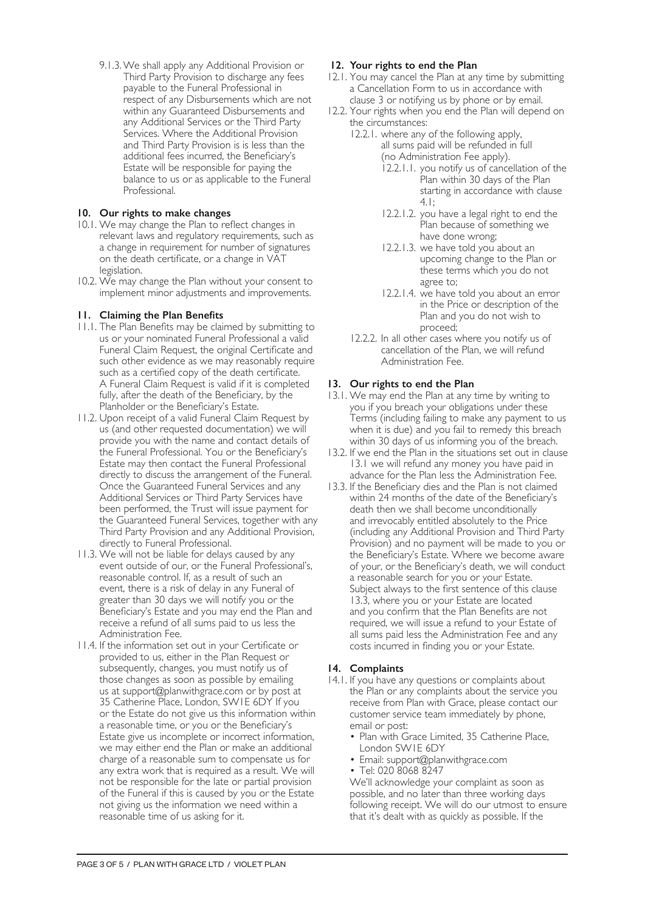9.1.3.We shall apply any Additional Provision or Third Party Provision to discharge any fees payable to the Funeral Professional in respect of any Disbursements which are not within any Guaranteed Disbursements and any Additional Services or the Third Party Services. Where the Additional Provision and Third Party Provision is is less than the additional fees incurred, the Beneficiary's Estate will be responsible for paying the balance to us or as applicable to the Funeral Professional.

# **10. Our rights to make changes**

- 10.1. We may change the Plan to reflect changes in relevant laws and regulatory requirements, such as a change in requirement for number of signatures on the death certificate, or a change in VAT legislation.
- 10.2. We may change the Plan without your consent to implement minor adjustments and improvements.

# **11. Claiming the Plan Benefits**

- 11.1. The Plan Benefits may be claimed by submitting to us or your nominated Funeral Professional a valid Funeral Claim Request, the original Certificate and such other evidence as we may reasonably require such as a certified copy of the death certificate. A Funeral Claim Request is valid if it is completed fully, after the death of the Beneficiary, by the Planholder or the Beneficiary's Estate.
- 11.2. Upon receipt of a valid Funeral Claim Request by us (and other requested documentation) we will provide you with the name and contact details of the Funeral Professional. You or the Beneficiary's Estate may then contact the Funeral Professional directly to discuss the arrangement of the Funeral. Once the Guaranteed Funeral Services and any Additional Services or Third Party Services have been performed, the Trust will issue payment for the Guaranteed Funeral Services, together with any Third Party Provision and any Additional Provision, directly to Funeral Professional.
- 11.3. We will not be liable for delays caused by any event outside of our, or the Funeral Professional's, reasonable control. If, as a result of such an event, there is a risk of delay in any Funeral of greater than 30 days we will notify you or the Beneficiary's Estate and you may end the Plan and receive a refund of all sums paid to us less the Administration Fee.
- 11.4. If the information set out in your Certificate or provided to us, either in the Plan Request or subsequently, changes, you must notify us of those changes as soon as possible by emailing us at support@planwithgrace.com or by post at 35 Catherine Place, London, SW1E 6DY If you or the Estate do not give us this information within a reasonable time, or you or the Beneficiary's Estate give us incomplete or incorrect information, we may either end the Plan or make an additional charge of a reasonable sum to compensate us for any extra work that is required as a result. We will not be responsible for the late or partial provision of the Funeral if this is caused by you or the Estate not giving us the information we need within a reasonable time of us asking for it.

# **12. Your rights to end the Plan**

- 12.1. You may cancel the Plan at any time by submitting a Cancellation Form to us in accordance with clause 3 or notifying us by phone or by email.
- 12.2. Your rights when you end the Plan will depend on the circumstances:
	- 12.2.1. where any of the following apply, all sums paid will be refunded in full (no Administration Fee apply).
		- 12.2.1.1. you notify us of cancellation of the Plan within 30 days of the Plan starting in accordance with clause 4.1;
		- 12.2.1.2. you have a legal right to end the Plan because of something we have done wrong;
		- 12.2.1.3. we have told you about an upcoming change to the Plan or these terms which you do not agree to;
		- 12.2.1.4. we have told you about an error in the Price or description of the Plan and you do not wish to proceed;
	- 12.2.2. In all other cases where you notify us of cancellation of the Plan, we will refund Administration Fee.

#### **13. Our rights to end the Plan**

- 13.1. We may end the Plan at any time by writing to you if you breach your obligations under these Terms (including failing to make any payment to us when it is due) and you fail to remedy this breach within 30 days of us informing you of the breach.
- 13.2. If we end the Plan in the situations set out in clause 13.1 we will refund any money you have paid in advance for the Plan less the Administration Fee.
- 13.3. If the Beneficiary dies and the Plan is not claimed within 24 months of the date of the Beneficiary's death then we shall become unconditionally and irrevocably entitled absolutely to the Price (including any Additional Provision and Third Party Provision) and no payment will be made to you or the Beneficiary's Estate. Where we become aware of your, or the Beneficiary's death, we will conduct a reasonable search for you or your Estate. Subject always to the first sentence of this clause 13.3, where you or your Estate are located and you confirm that the Plan Benefits are not required, we will issue a refund to your Estate of all sums paid less the Administration Fee and any costs incurred in finding you or your Estate.

#### **14. Complaints**

- 14.1. If you have any questions or complaints about the Plan or any complaints about the service you receive from Plan with Grace, please contact our customer service team immediately by phone, email or post:
	- Plan with Grace Limited, 35 Catherine Place, London SW1E 6DY
	- Email: support@planwithgrace.com
	- Tel: 020 8068 8247

We'll acknowledge your complaint as soon as possible, and no later than three working days following receipt. We will do our utmost to ensure that it's dealt with as quickly as possible. If the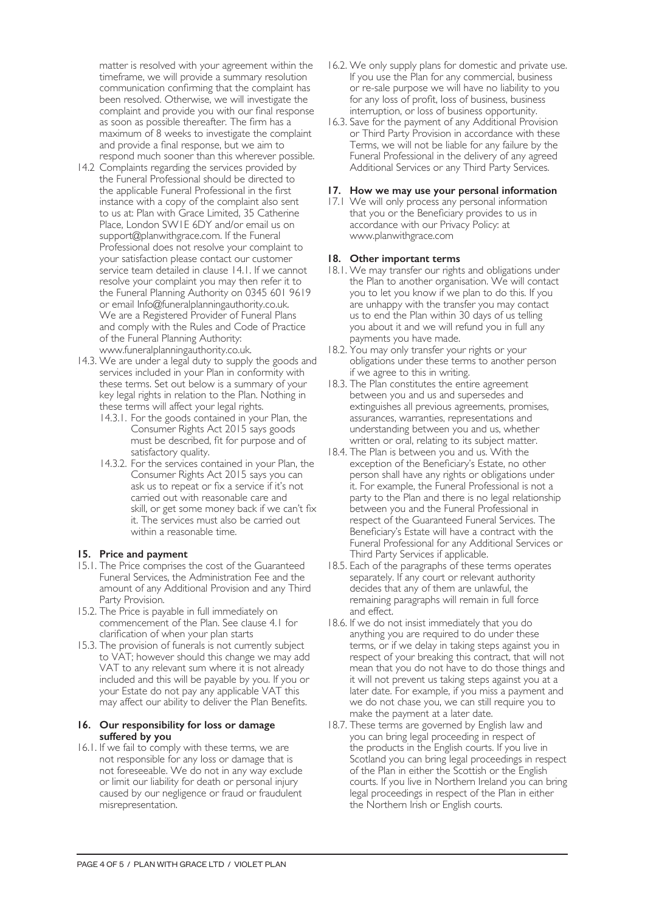matter is resolved with your agreement within the timeframe, we will provide a summary resolution communication confirming that the complaint has been resolved. Otherwise, we will investigate the complaint and provide you with our final response as soon as possible thereafter. The firm has a maximum of 8 weeks to investigate the complaint and provide a final response, but we aim to respond much sooner than this wherever possible.

- 14.2 Complaints regarding the services provided by the Funeral Professional should be directed to the applicable Funeral Professional in the first instance with a copy of the complaint also sent to us at: Plan with Grace Limited, 35 Catherine Place, London SW1E 6DY and/or email us on support@planwithgrace.com. If the Funeral Professional does not resolve your complaint to your satisfaction please contact our customer service team detailed in clause 14.1. If we cannot resolve your complaint you may then refer it to the Funeral Planning Authority on 0345 601 9619 or email Info@funeralplanningauthority.co.uk. We are a Registered Provider of Funeral Plans and comply with the Rules and Code of Practice of the Funeral Planning Authority: www.funeralplanningauthority.co.uk.
- 14.3. We are under a legal duty to supply the goods and services included in your Plan in conformity with these terms. Set out below is a summary of your key legal rights in relation to the Plan. Nothing in these terms will affect your legal rights.
	- 14.3.1. For the goods contained in your Plan, the Consumer Rights Act 2015 says goods must be described, fit for purpose and of satisfactory quality.
	- 14.3.2. For the services contained in your Plan, the Consumer Rights Act 2015 says you can ask us to repeat or fix a service if it's not carried out with reasonable care and skill, or get some money back if we can't fix it. The services must also be carried out within a reasonable time.

# **15. Price and payment**

- 15.1. The Price comprises the cost of the Guaranteed Funeral Services, the Administration Fee and the amount of any Additional Provision and any Third Party Provision.
- 15.2. The Price is payable in full immediately on commencement of the Plan. See clause 4.1 for clarification of when your plan starts
- 15.3. The provision of funerals is not currently subject to VAT; however should this change we may add VAT to any relevant sum where it is not already included and this will be payable by you. If you or your Estate do not pay any applicable VAT this may affect our ability to deliver the Plan Benefits.

#### **16. Our responsibility for loss or damage suffered by you**

16.1. If we fail to comply with these terms, we are not responsible for any loss or damage that is not foreseeable. We do not in any way exclude or limit our liability for death or personal injury caused by our negligence or fraud or fraudulent misrepresentation.

- 16.2. We only supply plans for domestic and private use. If you use the Plan for any commercial, business or re-sale purpose we will have no liability to you for any loss of profit, loss of business, business interruption, or loss of business opportunity.
- 16.3. Save for the payment of any Additional Provision or Third Party Provision in accordance with these Terms, we will not be liable for any failure by the Funeral Professional in the delivery of any agreed Additional Services or any Third Party Services.

### **17. How we may use your personal information**

17.1 We will only process any personal information that you or the Beneficiary provides to us in accordance with our Privacy Policy: at www.planwithgrace.com

# **18. Other important terms**

- 18.1. We may transfer our rights and obligations under the Plan to another organisation. We will contact you to let you know if we plan to do this. If you are unhappy with the transfer you may contact us to end the Plan within 30 days of us telling you about it and we will refund you in full any payments you have made.
- 18.2. You may only transfer your rights or your obligations under these terms to another person if we agree to this in writing.
- 18.3. The Plan constitutes the entire agreement between you and us and supersedes and extinguishes all previous agreements, promises, assurances, warranties, representations and understanding between you and us, whether written or oral, relating to its subject matter.
- 18.4. The Plan is between you and us. With the exception of the Beneficiary's Estate, no other person shall have any rights or obligations under it. For example, the Funeral Professional is not a party to the Plan and there is no legal relationship between you and the Funeral Professional in respect of the Guaranteed Funeral Services. The Beneficiary's Estate will have a contract with the Funeral Professional for any Additional Services or Third Party Services if applicable.
- 18.5. Each of the paragraphs of these terms operates separately. If any court or relevant authority decides that any of them are unlawful, the remaining paragraphs will remain in full force and effect.
- 18.6. If we do not insist immediately that you do anything you are required to do under these terms, or if we delay in taking steps against you in respect of your breaking this contract, that will not mean that you do not have to do those things and it will not prevent us taking steps against you at a later date. For example, if you miss a payment and we do not chase you, we can still require you to make the payment at a later date.
- 18.7. These terms are governed by English law and you can bring legal proceeding in respect of the products in the English courts. If you live in Scotland you can bring legal proceedings in respect of the Plan in either the Scottish or the English courts. If you live in Northern Ireland you can bring legal proceedings in respect of the Plan in either the Northern Irish or English courts.